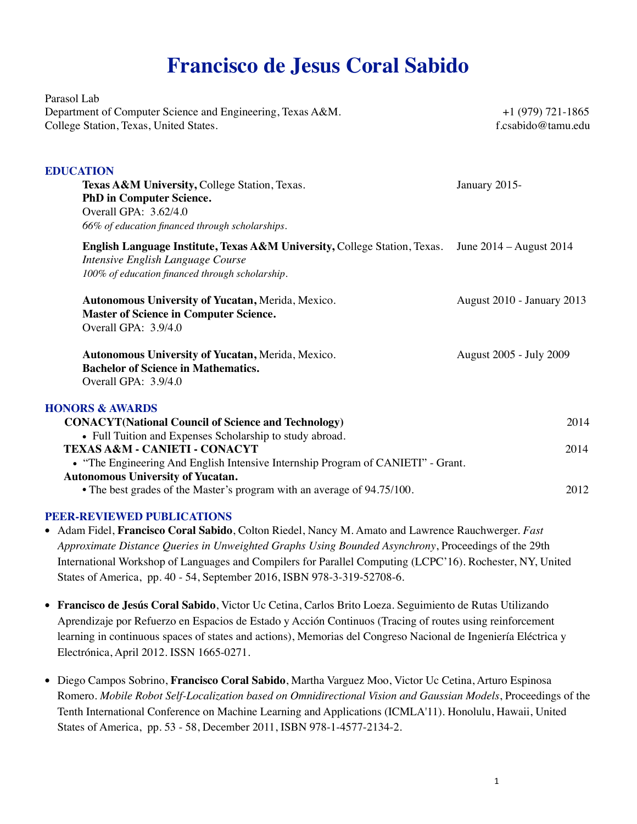## **Francisco de Jesus Coral Sabido**

Parasol Lab Department of Computer Science and Engineering, Texas A&M. +1 (979) 721-1865 College Station, Texas, United States. f.csabido@tamu.edu **EDUCATION Texas A&M University, College Station, Texas.** January 2015-**PhD in Computer Science.** Overall GPA: 3.62/4.0 *66% of education financed through scholarships.* **English Language Institute, Texas A&M University,** College Station, Texas. June 2014 – August 2014 *Intensive English Language Course 100% of education financed through scholarship.* **Autonomous University of Yucatan,** Merida, Mexico. August 2010 - January 2013 **Master of Science in Computer Science.** Overall GPA: 3.9/4.0 **Autonomous University of Yucatan,** Merida, Mexico. August 2005 - July 2009 **Bachelor of Science in Mathematics.** Overall GPA: 3.9/4.0 **HONORS & AWARDS CONACYT(National Council of Science and Technology)** 2014 • Full Tuition and Expenses Scholarship to study abroad. **TEXAS A&M - CANIETI - CONACYT** 2014 • "The Engineering And English Intensive Internship Program of CANIETI" - Grant. **Autonomous University of Yucatan.**  • The best grades of the Master's program with an average of 94.75/100. 2012

## **PEER-REVIEWED PUBLICATIONS**

- Adam Fidel, **Francisco Coral Sabido**, Colton Riedel, Nancy M. Amato and Lawrence Rauchwerger. *Fast Approximate Distance Queries in Unweighted Graphs Using Bounded Asynchrony*, Proceedings of the 29th International Workshop of Languages and Compilers for Parallel Computing (LCPC'16). Rochester, NY, United States of America, pp. 40 - 54, September 2016, ISBN 978-3-319-52708-6.
- **Francisco de Jesús Coral Sabido**, Victor Uc Cetina, Carlos Brito Loeza. Seguimiento de Rutas Utilizando Aprendizaje por Refuerzo en Espacios de Estado y Acción Continuos (Tracing of routes using reinforcement learning in continuous spaces of states and actions), Memorias del Congreso Nacional de Ingeniería Eléctrica y Electrónica, April 2012. ISSN 1665-0271.
- Diego Campos Sobrino, **Francisco Coral Sabido**, Martha Varguez Moo, Victor Uc Cetina, Arturo Espinosa Romero. *Mobile Robot Self-Localization based on Omnidirectional Vision and Gaussian Models*, Proceedings of the Tenth International Conference on Machine Learning and Applications (ICMLA'11). Honolulu, Hawaii, United States of America, pp. 53 - 58, December 2011, ISBN 978-1-4577-2134-2.